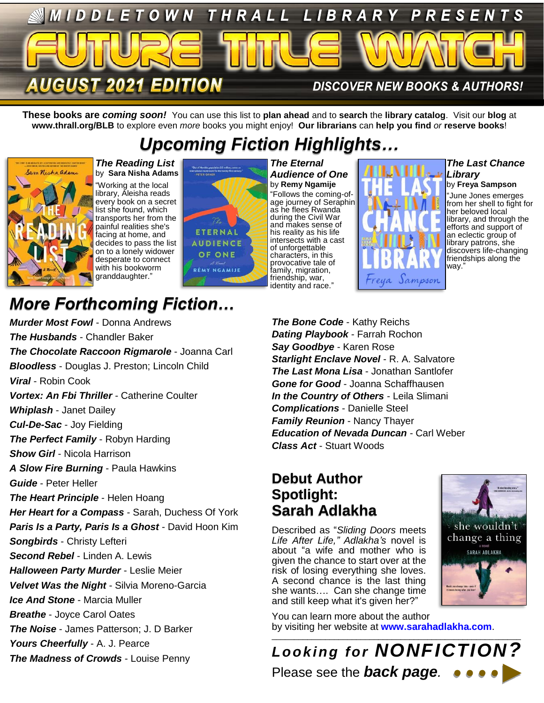

**These books are** *coming soon!* You can use this list to **plan ahead** and to **search** the **library catalog**. Visit our **blog** at **www.thrall.org/BLB** to explore even *more* books you might enjoy! **Our librarians** can **help you find** *or* **reserve books**!

### *Upcoming Fiction Highlights…*



*The Reading List* by **Sara Nisha Adams**

"Working at the local library, Aleisha reads every book on a secret list she found, which transports her from the painful realities she's facing at home, and decides to pass the list on to a lonely widower desperate to connect with his bookworm granddaughter."



*The Eternal Audience of One* by **Remy Ngamije** "Follows the coming-ofage journey of Seraphin as he flees Rwanda during the Civil War and makes sense of his reality as his life intersects with a cast of unforgettable characters, in this provocative tale of family, migration, friendship, war, identity and race."



*The Last Chance Library*

by **Freya Sampson**

"June Jones emerges from her shell to fight for her beloved local library, and through the efforts and support of an eclectic group of library patrons, she discovers life-changing friendships along the way."

### *More Forthcoming Fiction…*

*Murder Most Fowl* - Donna Andrews *The Husbands* - Chandler Baker *The Chocolate Raccoon Rigmarole* - Joanna Carl *Bloodless* - Douglas J. Preston; Lincoln Child *Viral* - Robin Cook *Vortex: An Fbi Thriller* - Catherine Coulter *Whiplash* - Janet Dailey *Cul-De-Sac* - Joy Fielding *The Perfect Family* - Robyn Harding *Show Girl* - Nicola Harrison *A Slow Fire Burning* - Paula Hawkins *Guide* - Peter Heller *The Heart Principle* - Helen Hoang *Her Heart for a Compass* - Sarah, Duchess Of York *Paris Is a Party, Paris Is a Ghost* - David Hoon Kim *Songbirds* - Christy Lefteri *Second Rebel* - Linden A. Lewis *Halloween Party Murder* - Leslie Meier *Velvet Was the Night* - Silvia Moreno-Garcia *Ice And Stone* - Marcia Muller *Breathe* - Joyce Carol Oates *The Noise* - James Patterson; J. D Barker *Yours Cheerfully* - A. J. Pearce *The Madness of Crowds* - Louise Penny

*The Bone Code* - Kathy Reichs *Dating Playbook* - Farrah Rochon *Say Goodbye* - Karen Rose *Starlight Enclave Novel* - R. A. Salvatore *The Last Mona Lisa* - Jonathan Santlofer *Gone for Good* - Joanna Schaffhausen *In the Country of Others* - Leila Slimani *Complications* - Danielle Steel *Family Reunion* - Nancy Thayer *Education of Nevada Duncan* - Carl Weber *Class Act* - Stuart Woods

### **Debut Author Spotlight: Sarah Adlakha**

Described as "*Sliding Doors* meets *Life After Life," Adlakha's* novel is about "a wife and mother who is given the chance to start over at the risk of losing everything she loves. A second chance is the last thing she wants…. Can she change time and still keep what it's given her?"



You can learn more about the author by visiting her website at **[www.sarahadlakha.com](http://www.sarahadlakha.com/)**.

\_\_\_\_\_\_\_\_\_\_\_\_\_\_\_\_\_\_\_\_\_\_\_\_\_\_\_\_\_\_\_\_\_\_\_\_\_\_\_\_\_\_\_\_\_\_\_\_\_\_\_\_\_\_\_\_ *Looking for NONFICTION?* Please see the *back page.*